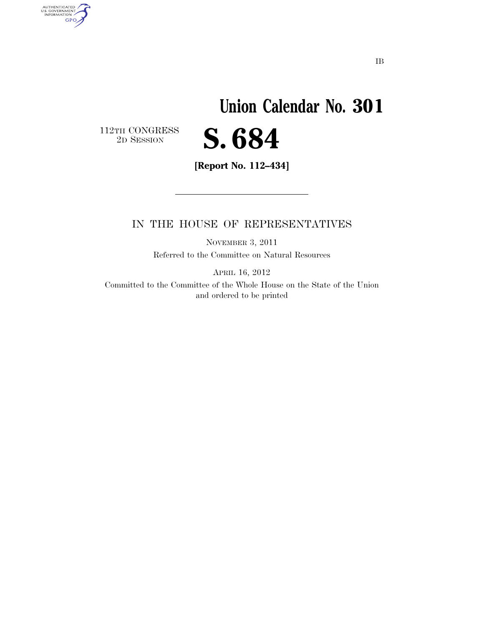## **Union Calendar No. 301**  S. 684

 $\begin{array}{c} \textbf{112TH CONGRESS} \\ \textbf{2D} \textbf{SESSION} \end{array}$ 

AUTHENTICATED<br>U.S. GOVERNMENT<br>INFORMATION

**GPO** 

**[Report No. 112–434]** 

## IN THE HOUSE OF REPRESENTATIVES

NOVEMBER 3, 2011 Referred to the Committee on Natural Resources

APRIL 16, 2012

Committed to the Committee of the Whole House on the State of the Union and ordered to be printed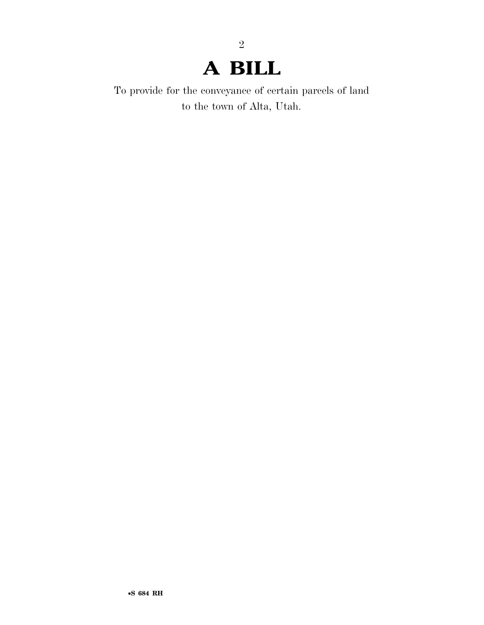## **A BILL**

2

To provide for the conveyance of certain parcels of land to the town of Alta, Utah.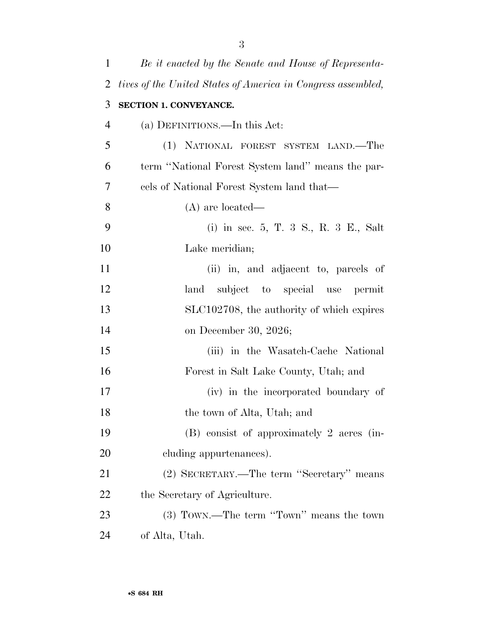| 1              | Be it enacted by the Senate and House of Representa-         |
|----------------|--------------------------------------------------------------|
| 2              | tives of the United States of America in Congress assembled, |
| 3              | SECTION 1. CONVEYANCE.                                       |
| $\overline{4}$ | (a) DEFINITIONS.—In this Act:                                |
| 5              | (1) NATIONAL FOREST SYSTEM LAND.—The                         |
| 6              | term "National Forest System land" means the par-            |
| 7              | cels of National Forest System land that—                    |
| 8              | $(A)$ are located—                                           |
| 9              | (i) in sec. 5, T. 3 S., R. 3 E., Salt                        |
| 10             | Lake meridian;                                               |
| 11             | (ii) in, and adjacent to, parcels of                         |
| 12             | subject to special use permit<br>land                        |
| 13             | SLC102708, the authority of which expires                    |
| 14             | on December 30, 2026;                                        |
| 15             | (iii) in the Wasatch-Cache National                          |
| 16             | Forest in Salt Lake County, Utah; and                        |
| 17             | (iv) in the incorporated boundary of                         |
| 18             | the town of Alta, Utah; and                                  |
| 19             | (B) consist of approximately 2 acres (in-                    |
| 20             | cluding appurtenances).                                      |
| 21             | (2) SECRETARY.—The term "Secretary" means                    |
| 22             | the Secretary of Agriculture.                                |
| 23             | (3) TOWN.—The term "Town" means the town                     |
| 24             | of Alta, Utah.                                               |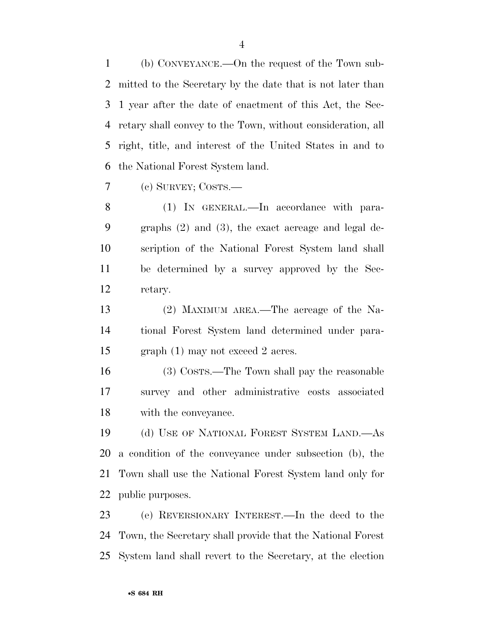(b) CONVEYANCE.—On the request of the Town sub- mitted to the Secretary by the date that is not later than 1 year after the date of enactment of this Act, the Sec- retary shall convey to the Town, without consideration, all right, title, and interest of the United States in and to the National Forest System land.

(c) SURVEY; COSTS.—

 (1) IN GENERAL.—In accordance with para- graphs (2) and (3), the exact acreage and legal de- scription of the National Forest System land shall be determined by a survey approved by the Sec-retary.

 (2) MAXIMUM AREA.—The acreage of the Na- tional Forest System land determined under para-graph (1) may not exceed 2 acres.

 (3) COSTS.—The Town shall pay the reasonable survey and other administrative costs associated with the conveyance.

 (d) USE OF NATIONAL FOREST SYSTEM LAND.—As a condition of the conveyance under subsection (b), the Town shall use the National Forest System land only for public purposes.

 (e) REVERSIONARY INTEREST.—In the deed to the Town, the Secretary shall provide that the National Forest System land shall revert to the Secretary, at the election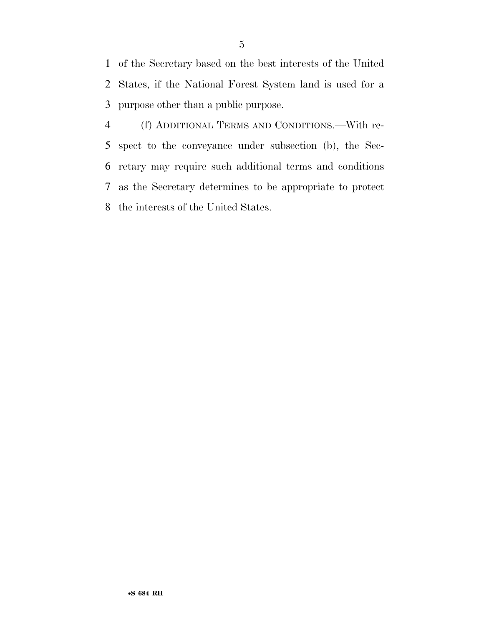of the Secretary based on the best interests of the United States, if the National Forest System land is used for a purpose other than a public purpose.

 (f) ADDITIONAL TERMS AND CONDITIONS.—With re- spect to the conveyance under subsection (b), the Sec- retary may require such additional terms and conditions as the Secretary determines to be appropriate to protect the interests of the United States.